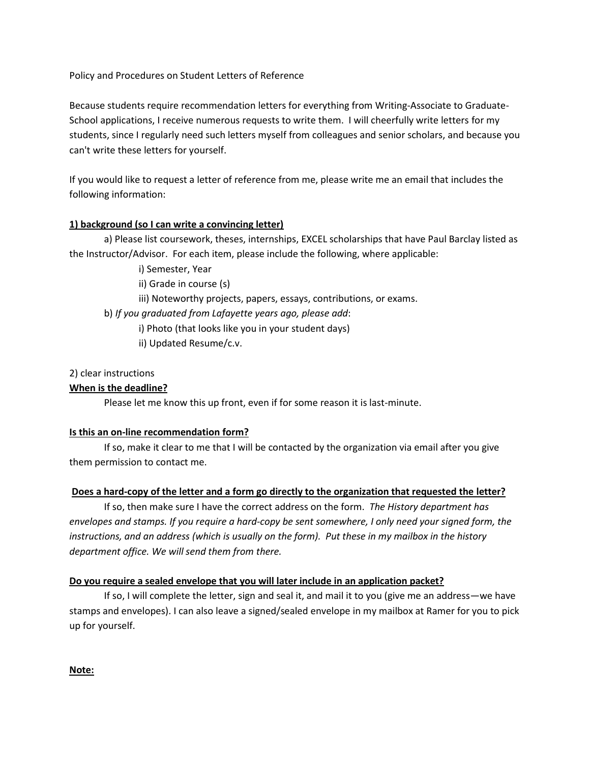Policy and Procedures on Student Letters of Reference

Because students require recommendation letters for everything from Writing-Associate to Graduate-School applications, I receive numerous requests to write them. I will cheerfully write letters for my students, since I regularly need such letters myself from colleagues and senior scholars, and because you can't write these letters for yourself.

If you would like to request a letter of reference from me, please write me an email that includes the following information:

# **1) background (so I can write a convincing letter)**

a) Please list coursework, theses, internships, EXCEL scholarships that have Paul Barclay listed as the Instructor/Advisor. For each item, please include the following, where applicable:

i) Semester, Year

ii) Grade in course (s)

iii) Noteworthy projects, papers, essays, contributions, or exams.

b) *If you graduated from Lafayette years ago, please add*:

i) Photo (that looks like you in your student days)

ii) Updated Resume/c.v.

# 2) clear instructions

# **When is the deadline?**

Please let me know this up front, even if for some reason it is last-minute.

# **Is this an on-line recommendation form?**

If so, make it clear to me that I will be contacted by the organization via email after you give them permission to contact me.

# **Does a hard-copy of the letter and a form go directly to the organization that requested the letter?**

If so, then make sure I have the correct address on the form. *The History department has envelopes and stamps. If you require a hard-copy be sent somewhere, I only need your signed form, the instructions, and an address (which is usually on the form). Put these in my mailbox in the history department office. We will send them from there.*

# **Do you require a sealed envelope that you will later include in an application packet?**

If so, I will complete the letter, sign and seal it, and mail it to you (give me an address—we have stamps and envelopes). I can also leave a signed/sealed envelope in my mailbox at Ramer for you to pick up for yourself.

**Note:**